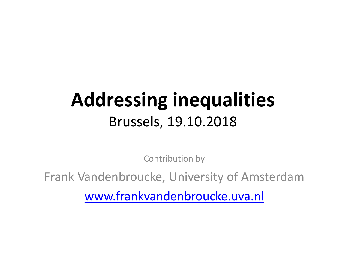## **Addressing inequalities** Brussels, 19.10.2018

Contribution by

Frank Vandenbroucke, University of Amsterdam

[www.frankvandenbroucke.uva.nl](http://www.frankvandenbroucke.uva.nl/)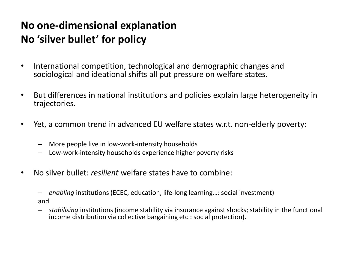## **No one-dimensional explanation No 'silver bullet' for policy**

- International competition, technological and demographic changes and sociological and ideational shifts all put pressure on welfare states.
- But differences in national institutions and policies explain large heterogeneity in trajectories.
- Yet, a common trend in advanced EU welfare states w.r.t. non-elderly poverty:
	- More people live in low-work-intensity households
	- Low-work-intensity households experience higher poverty risks
- No silver bullet: *resilient* welfare states have to combine:
	- *enabling* institutions (ECEC, education, life-long learning…: social investment) and
	- *stabilising* institutions (income stability via insurance against shocks; stability in the functional income distribution via collective bargaining etc.: social protection).